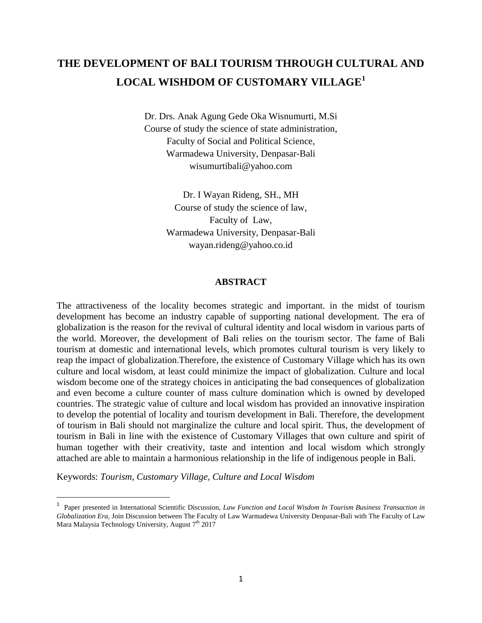## **THE DEVELOPMENT OF BALI TOURISM THROUGH CULTURAL AND LOCAL WISHDOM OF CUSTOMARY VILLAGE<sup>1</sup>**

Dr. Drs. Anak Agung Gede Oka Wisnumurti, M.Si Course of study the science of state administration, Faculty of Social and Political Science, Warmadewa University, Denpasar-Bali wisumurtibali@yahoo.com

> Dr. I Wayan Rideng, SH., MH Course of study the science of law, Faculty of Law, Warmadewa University, Denpasar-Bali wayan.rideng@yahoo.co.id

#### **ABSTRACT**

The attractiveness of the locality becomes strategic and important. in the midst of tourism development has become an industry capable of supporting national development. The era of globalization is the reason for the revival of cultural identity and local wisdom in various parts of the world. Moreover, the development of Bali relies on the tourism sector. The fame of Bali tourism at domestic and international levels, which promotes cultural tourism is very likely to reap the impact of globalization.Therefore, the existence of Customary Village which has its own culture and local wisdom, at least could minimize the impact of globalization. Culture and local wisdom become one of the strategy choices in anticipating the bad consequences of globalization and even become a culture counter of mass culture domination which is owned by developed countries. The strategic value of culture and local wisdom has provided an innovative inspiration to develop the potential of locality and tourism development in Bali. Therefore, the development of tourism in Bali should not marginalize the culture and local spirit. Thus, the development of tourism in Bali in line with the existence of Customary Villages that own culture and spirit of human together with their creativity, taste and intention and local wisdom which strongly attached are able to maintain a harmonious relationship in the life of indigenous people in Bali.

Keywords: *Tourism, Customary Village, Culture and Local Wisdom*

 $\overline{\phantom{a}}$ 

<sup>&</sup>lt;sup>1</sup> Paper presented in International Scientific Discussion, *Law Function and Local Wisdom In Tourism Business Transaction in Globalization Era,* Join Discussion between The Faculty of Law Warmadewa University Denpasar-Bali with The Faculty of Law Mara Malaysia Technology University, August  $7<sup>th</sup> 2017$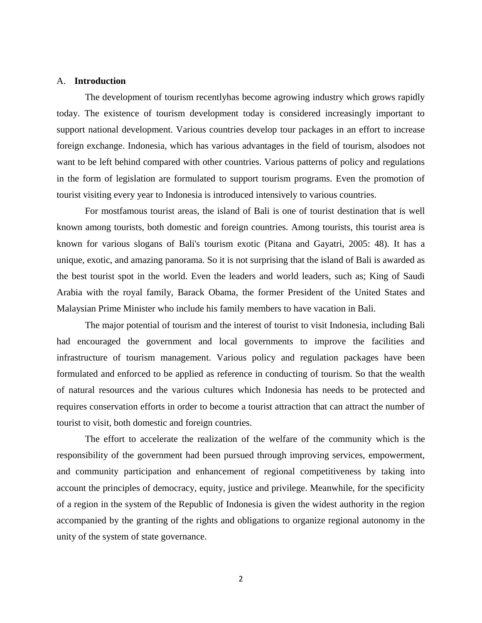#### A. **Introduction**

The development of tourism recentlyhas become agrowing industry which grows rapidly today. The existence of tourism development today is considered increasingly important to support national development. Various countries develop tour packages in an effort to increase foreign exchange. Indonesia, which has various advantages in the field of tourism, alsodoes not want to be left behind compared with other countries. Various patterns of policy and regulations in the form of legislation are formulated to support tourism programs. Even the promotion of tourist visiting every year to Indonesia is introduced intensively to various countries.

For mostfamous tourist areas, the island of Bali is one of tourist destination that is well known among tourists, both domestic and foreign countries. Among tourists, this tourist area is known for various slogans of Bali's tourism exotic (Pitana and Gayatri, 2005: 48). It has a unique, exotic, and amazing panorama. So it is not surprising that the island of Bali is awarded as the best tourist spot in the world. Even the leaders and world leaders, such as; King of Saudi Arabia with the royal family, Barack Obama, the former President of the United States and Malaysian Prime Minister who include his family members to have vacation in Bali.

The major potential of tourism and the interest of tourist to visit Indonesia, including Bali had encouraged the government and local governments to improve the facilities and infrastructure of tourism management. Various policy and regulation packages have been formulated and enforced to be applied as reference in conducting of tourism. So that the wealth of natural resources and the various cultures which Indonesia has needs to be protected and requires conservation efforts in order to become a tourist attraction that can attract the number of tourist to visit, both domestic and foreign countries.

The effort to accelerate the realization of the welfare of the community which is the responsibility of the government had been pursued through improving services, empowerment, and community participation and enhancement of regional competitiveness by taking into account the principles of democracy, equity, justice and privilege. Meanwhile, for the specificity of a region in the system of the Republic of Indonesia is given the widest authority in the region accompanied by the granting of the rights and obligations to organize regional autonomy in the unity of the system of state governance.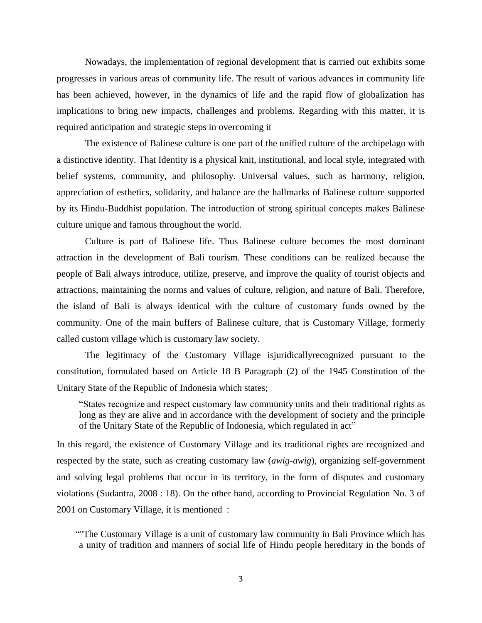Nowadays, the implementation of regional development that is carried out exhibits some progresses in various areas of community life. The result of various advances in community life has been achieved, however, in the dynamics of life and the rapid flow of globalization has implications to bring new impacts, challenges and problems. Regarding with this matter, it is required anticipation and strategic steps in overcoming it

The existence of Balinese culture is one part of the unified culture of the archipelago with a distinctive identity. That Identity is a physical knit, institutional, and local style, integrated with belief systems, community, and philosophy. Universal values, such as harmony, religion, appreciation of esthetics, solidarity, and balance are the hallmarks of Balinese culture supported by its Hindu-Buddhist population. The introduction of strong spiritual concepts makes Balinese culture unique and famous throughout the world.

Culture is part of Balinese life. Thus Balinese culture becomes the most dominant attraction in the development of Bali tourism. These conditions can be realized because the people of Bali always introduce, utilize, preserve, and improve the quality of tourist objects and attractions, maintaining the norms and values of culture, religion, and nature of Bali. Therefore, the island of Bali is always identical with the culture of customary funds owned by the community. One of the main buffers of Balinese culture, that is Customary Village, formerly called custom village which is customary law society.

The legitimacy of the Customary Village isjuridicallyrecognized pursuant to the constitution, formulated based on Article 18 B Paragraph (2) of the 1945 Constitution of the Unitary State of the Republic of Indonesia which states;

"States recognize and respect customary law community units and their traditional rights as long as they are alive and in accordance with the development of society and the principle of the Unitary State of the Republic of Indonesia, which regulated in act"

In this regard, the existence of Customary Village and its traditional rights are recognized and respected by the state, such as creating customary law (*awig-awig*), organizing self-government and solving legal problems that occur in its territory, in the form of disputes and customary violations (Sudantra, 2008 : 18). On the other hand, according to Provincial Regulation No. 3 of 2001 on Customary Village, it is mentioned :

 ""The Customary Village is a unit of customary law community in Bali Province which has a unity of tradition and manners of social life of Hindu people hereditary in the bonds of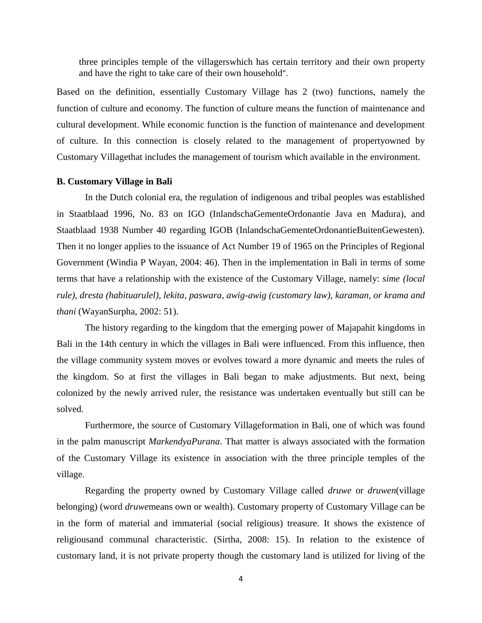three principles temple of the villagerswhich has certain territory and their own property and have the right to take care of their own household".

Based on the definition, essentially Customary Village has 2 (two) functions, namely the function of culture and economy. The function of culture means the function of maintenance and cultural development. While economic function is the function of maintenance and development of culture. In this connection is closely related to the management of propertyowned by Customary Villagethat includes the management of tourism which available in the environment.

#### **B. Customary Village in Bali**

In the Dutch colonial era, the regulation of indigenous and tribal peoples was established in Staatblaad 1996, No. 83 on IGO (InlandschaGementeOrdonantie Java en Madura), and Staatblaad 1938 Number 40 regarding IGOB (InlandschaGementeOrdonantieBuitenGewesten). Then it no longer applies to the issuance of Act Number 19 of 1965 on the Principles of Regional Government (Windia P Wayan, 2004: 46). Then in the implementation in Bali in terms of some terms that have a relationship with the existence of the Customary Village, namely: *sime (local rule), dresta (habituarulel), lekita, paswara, awig-awig (customary law), karaman, or krama and thani* (WayanSurpha, 2002: 51).

The history regarding to the kingdom that the emerging power of Majapahit kingdoms in Bali in the 14th century in which the villages in Bali were influenced. From this influence, then the village community system moves or evolves toward a more dynamic and meets the rules of the kingdom. So at first the villages in Bali began to make adjustments. But next, being colonized by the newly arrived ruler, the resistance was undertaken eventually but still can be solved.

Furthermore, the source of Customary Villageformation in Bali, one of which was found in the palm manuscript *MarkendyaPurana*. That matter is always associated with the formation of the Customary Village its existence in association with the three principle temples of the village.

Regarding the property owned by Customary Village called *druwe* or *druwen*(village belonging) (word *druwe*means own or wealth). Customary property of Customary Village can be in the form of material and immaterial (social religious) treasure. It shows the existence of religiousand communal characteristic. (Sirtha, 2008: 15). In relation to the existence of customary land, it is not private property though the customary land is utilized for living of the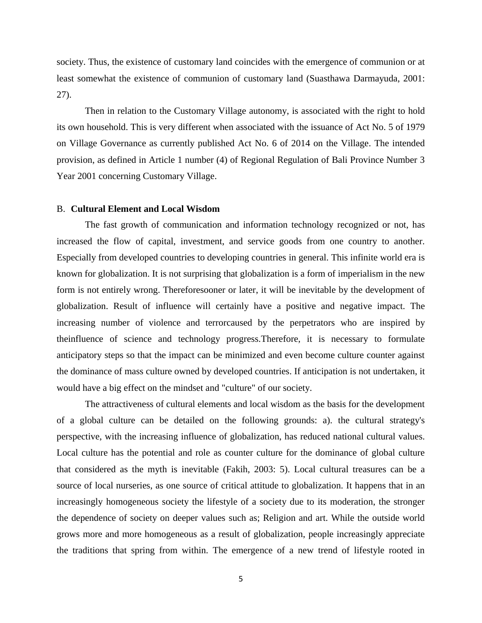society. Thus, the existence of customary land coincides with the emergence of communion or at least somewhat the existence of communion of customary land (Suasthawa Darmayuda, 2001: 27).

Then in relation to the Customary Village autonomy, is associated with the right to hold its own household. This is very different when associated with the issuance of Act No. 5 of 1979 on Village Governance as currently published Act No. 6 of 2014 on the Village. The intended provision, as defined in Article 1 number (4) of Regional Regulation of Bali Province Number 3 Year 2001 concerning Customary Village.

#### B. **Cultural Element and Local Wisdom**

The fast growth of communication and information technology recognized or not, has increased the flow of capital, investment, and service goods from one country to another. Especially from developed countries to developing countries in general. This infinite world era is known for globalization. It is not surprising that globalization is a form of imperialism in the new form is not entirely wrong. Thereforesooner or later, it will be inevitable by the development of globalization. Result of influence will certainly have a positive and negative impact. The increasing number of violence and terrorcaused by the perpetrators who are inspired by theinfluence of science and technology progress.Therefore, it is necessary to formulate anticipatory steps so that the impact can be minimized and even become culture counter against the dominance of mass culture owned by developed countries. If anticipation is not undertaken, it would have a big effect on the mindset and "culture" of our society.

The attractiveness of cultural elements and local wisdom as the basis for the development of a global culture can be detailed on the following grounds: a). the cultural strategy's perspective, with the increasing influence of globalization, has reduced national cultural values. Local culture has the potential and role as counter culture for the dominance of global culture that considered as the myth is inevitable (Fakih, 2003: 5). Local cultural treasures can be a source of local nurseries, as one source of critical attitude to globalization. It happens that in an increasingly homogeneous society the lifestyle of a society due to its moderation, the stronger the dependence of society on deeper values such as; Religion and art. While the outside world grows more and more homogeneous as a result of globalization, people increasingly appreciate the traditions that spring from within. The emergence of a new trend of lifestyle rooted in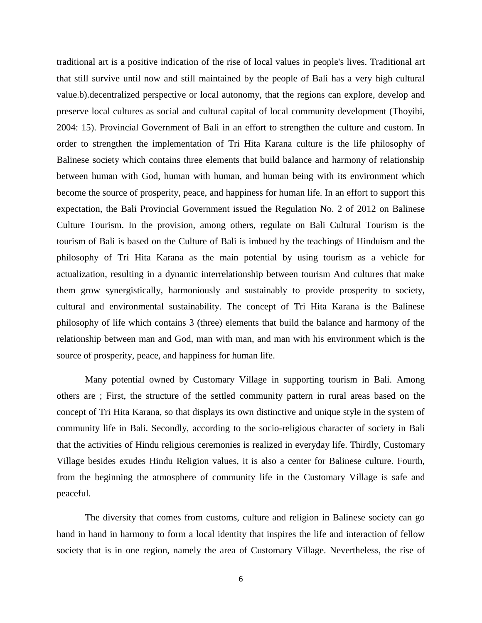traditional art is a positive indication of the rise of local values in people's lives. Traditional art that still survive until now and still maintained by the people of Bali has a very high cultural value.b).decentralized perspective or local autonomy, that the regions can explore, develop and preserve local cultures as social and cultural capital of local community development (Thoyibi, 2004: 15). Provincial Government of Bali in an effort to strengthen the culture and custom. In order to strengthen the implementation of Tri Hita Karana culture is the life philosophy of Balinese society which contains three elements that build balance and harmony of relationship between human with God, human with human, and human being with its environment which become the source of prosperity, peace, and happiness for human life. In an effort to support this expectation, the Bali Provincial Government issued the Regulation No. 2 of 2012 on Balinese Culture Tourism. In the provision, among others, regulate on Bali Cultural Tourism is the tourism of Bali is based on the Culture of Bali is imbued by the teachings of Hinduism and the philosophy of Tri Hita Karana as the main potential by using tourism as a vehicle for actualization, resulting in a dynamic interrelationship between tourism And cultures that make them grow synergistically, harmoniously and sustainably to provide prosperity to society, cultural and environmental sustainability. The concept of Tri Hita Karana is the Balinese philosophy of life which contains 3 (three) elements that build the balance and harmony of the relationship between man and God, man with man, and man with his environment which is the source of prosperity, peace, and happiness for human life.

Many potential owned by Customary Village in supporting tourism in Bali. Among others are ; First, the structure of the settled community pattern in rural areas based on the concept of Tri Hita Karana, so that displays its own distinctive and unique style in the system of community life in Bali. Secondly, according to the socio-religious character of society in Bali that the activities of Hindu religious ceremonies is realized in everyday life. Thirdly, Customary Village besides exudes Hindu Religion values, it is also a center for Balinese culture. Fourth, from the beginning the atmosphere of community life in the Customary Village is safe and peaceful.

The diversity that comes from customs, culture and religion in Balinese society can go hand in hand in harmony to form a local identity that inspires the life and interaction of fellow society that is in one region, namely the area of Customary Village. Nevertheless, the rise of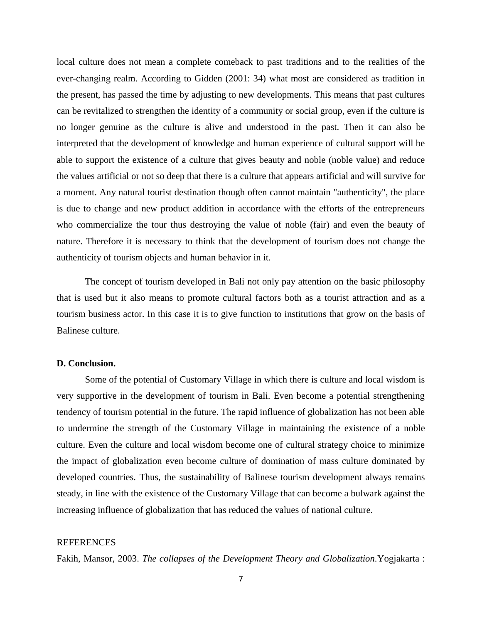local culture does not mean a complete comeback to past traditions and to the realities of the ever-changing realm. According to Gidden (2001: 34) what most are considered as tradition in the present, has passed the time by adjusting to new developments. This means that past cultures can be revitalized to strengthen the identity of a community or social group, even if the culture is no longer genuine as the culture is alive and understood in the past. Then it can also be interpreted that the development of knowledge and human experience of cultural support will be able to support the existence of a culture that gives beauty and noble (noble value) and reduce the values artificial or not so deep that there is a culture that appears artificial and will survive for a moment. Any natural tourist destination though often cannot maintain "authenticity", the place is due to change and new product addition in accordance with the efforts of the entrepreneurs who commercialize the tour thus destroying the value of noble (fair) and even the beauty of nature. Therefore it is necessary to think that the development of tourism does not change the authenticity of tourism objects and human behavior in it.

The concept of tourism developed in Bali not only pay attention on the basic philosophy that is used but it also means to promote cultural factors both as a tourist attraction and as a tourism business actor. In this case it is to give function to institutions that grow on the basis of Balinese culture.

#### **D. Conclusion.**

Some of the potential of Customary Village in which there is culture and local wisdom is very supportive in the development of tourism in Bali. Even become a potential strengthening tendency of tourism potential in the future. The rapid influence of globalization has not been able to undermine the strength of the Customary Village in maintaining the existence of a noble culture. Even the culture and local wisdom become one of cultural strategy choice to minimize the impact of globalization even become culture of domination of mass culture dominated by developed countries. Thus, the sustainability of Balinese tourism development always remains steady, in line with the existence of the Customary Village that can become a bulwark against the increasing influence of globalization that has reduced the values of national culture.

#### **REFERENCES**

Fakih, Mansor, 2003. *The collapses of the Development Theory and Globalization.*Yogjakarta :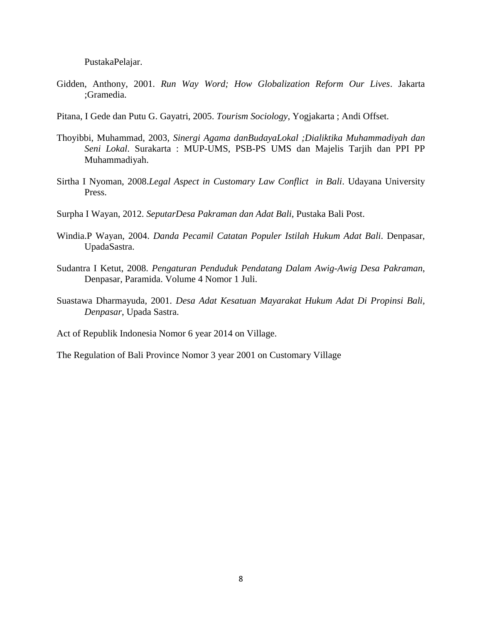PustakaPelajar.

- Gidden, Anthony, 2001. *Run Way Word; How Globalization Reform Our Lives*. Jakarta ;Gramedia.
- Pitana, I Gede dan Putu G. Gayatri, 2005. *Tourism Sociology*, Yogjakarta ; Andi Offset.
- Thoyibbi, Muhammad, 2003, *Sinergi Agama danBudayaLokal ;Dialiktika Muhammadiyah dan Seni Lokal*. Surakarta : MUP-UMS, PSB-PS UMS dan Majelis Tarjih dan PPI PP Muhammadiyah.
- Sirtha I Nyoman, 2008.*Legal Aspect in Customary Law Conflict in Bali*. Udayana University Press.
- Surpha I Wayan, 2012. *SeputarDesa Pakraman dan Adat Bali*, Pustaka Bali Post.
- Windia.P Wayan, 2004. *Danda Pecamil Catatan Populer Istilah Hukum Adat Bali*. Denpasar, UpadaSastra.
- Sudantra I Ketut, 2008. *Pengaturan Penduduk Pendatang Dalam Awig-Awig Desa Pakraman*, Denpasar, Paramida. Volume 4 Nomor 1 Juli.
- Suastawa Dharmayuda, 2001. *Desa Adat Kesatuan Mayarakat Hukum Adat Di Propinsi Bali, Denpasar*, Upada Sastra.

Act of Republik Indonesia Nomor 6 year 2014 on Village.

The Regulation of Bali Province Nomor 3 year 2001 on Customary Village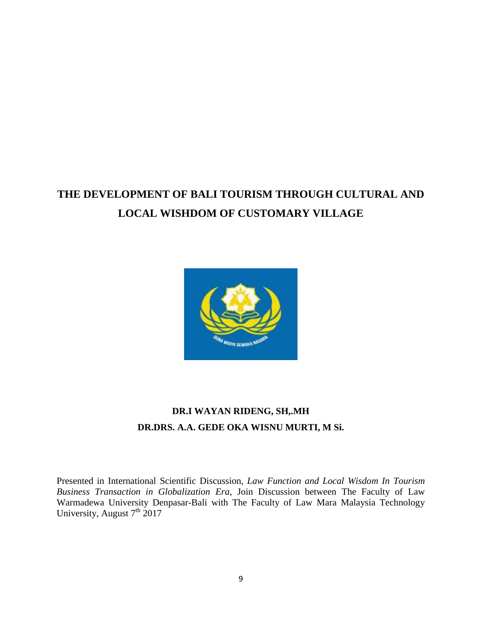# **THE DEVELOPMENT OF BALI TOURISM THROUGH CULTURAL AND LOCAL WISHDOM OF CUSTOMARY VILLAGE**



### **DR.I WAYAN RIDENG, SH,.MH DR.DRS. A.A. GEDE OKA WISNU MURTI, M Si.**

Presented in International Scientific Discussion, *Law Function and Local Wisdom In Tourism Business Transaction in Globalization Era*, Join Discussion between The Faculty of Law Warmadewa University Denpasar-Bali with The Faculty of Law Mara Malaysia Technology University, August  $7<sup>th</sup> 2017$